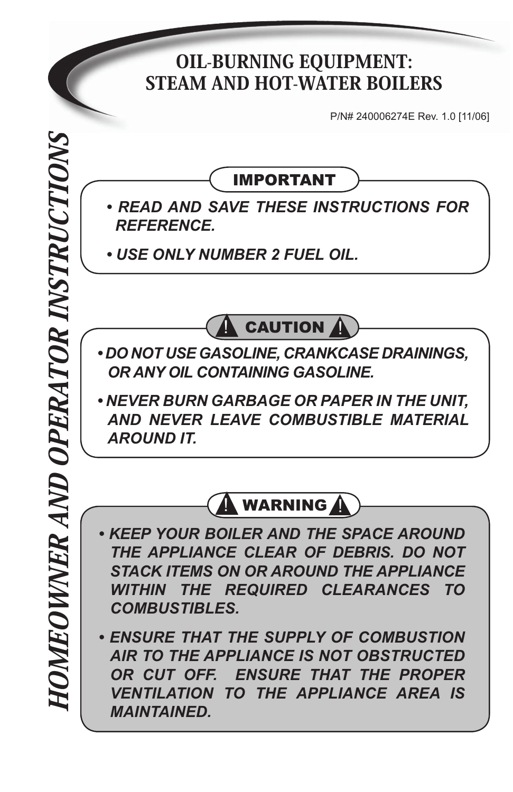## OIL-BURNING EQUIPMENT: STEAM AND HOT-WATER BOILERS

P/N# 240006274E Rev. 1.0 [11/06]

IMPORTANT

- *READ AND SAVE THESE INSTRUCTIONS FOR REFERENCE.*
- *USE ONLY NUMBER 2 FUEL OIL.*



- *DO NOT USE GASOLINE, CRANKCASE DRAININGS, OR ANY OIL CONTAINING GASOLINE.*
- *NEVER BURN GARBAGE OR PAPER IN THE UNIT, AND NEVER LEAVE COMBUSTIBLE MATERIAL AROUND IT.*



- *KEEP YOUR BOILER AND THE SPACE AROUND THE APPLIANCE CLEAR OF DEBRIS. DO NOT STACK ITEMS ON OR AROUND THE APPLIANCE WITHIN THE REQUIRED CLEARANCES TO COMBUSTIBLES.*
- *ENSURE THAT THE SUPPLY OF COMBUSTION AIR TO THE APPLIANCE IS NOT OBSTRUCTED OR CUT OFF. ENSURE THAT THE PROPER VENTILATION TO THE APPLIANCE AREA IS MAINTAINED.*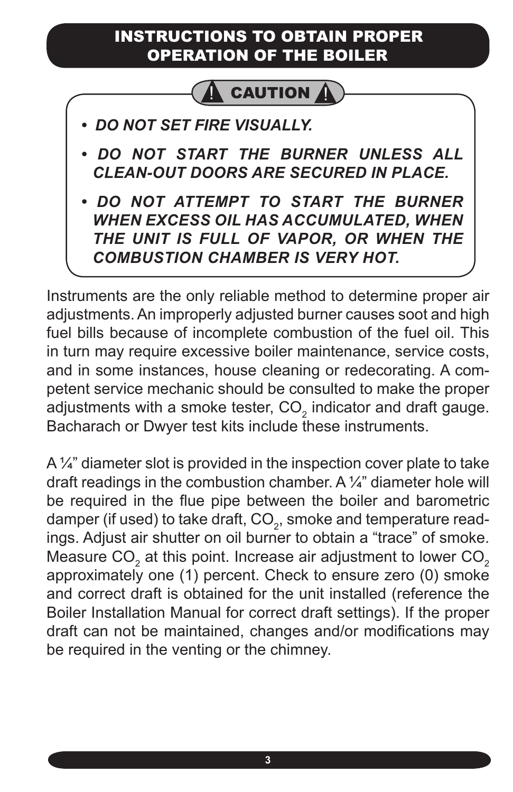#### INSTRUCTIONS TO OBTAIN PROPER OPERATION OF THE BOILER



- *DO NOT SET FIRE VISUALLY.*
- *DO NOT START THE BURNER UNLESS ALL CLEAN-OUT DOORS ARE SECURED IN PLACE.*
- *DO NOT ATTEMPT TO START THE BURNER WHEN EXCESS OIL HAS ACCUMULATED, WHEN THE UNIT IS FULL OF VAPOR, OR WHEN THE COMBUSTION CHAMBER IS VERY HOT.*

Instruments are the only reliable method to determine proper air adjustments. An improperly adjusted burner causes soot and high fuel bills because of incomplete combustion of the fuel oil. This in turn may require excessive boiler maintenance, service costs, and in some instances, house cleaning or redecorating. A competent service mechanic should be consulted to make the proper adjustments with a smoke tester, CO<sub>2</sub> indicator and draft gauge. Bacharach or Dwyer test kits include these instruments.

A 1/4" diameter slot is provided in the inspection cover plate to take draft readings in the combustion chamber. A  $\frac{1}{4}$  diameter hole will be required in the flue pipe between the boiler and barometric damper (if used) to take draft, CO $_{_2}$ , smoke and temperature readings. Adjust air shutter on oil burner to obtain a "trace" of smoke. Measure CO $_{\tiny 2}$  at this point. Increase air adjustment to lower CO $_{\tiny 2}$ approximately one (1) percent. Check to ensure zero (0) smoke and correct draft is obtained for the unit installed (reference the Boiler Installation Manual for correct draft settings). If the proper draft can not be maintained, changes and/or modifications may be required in the venting or the chimney.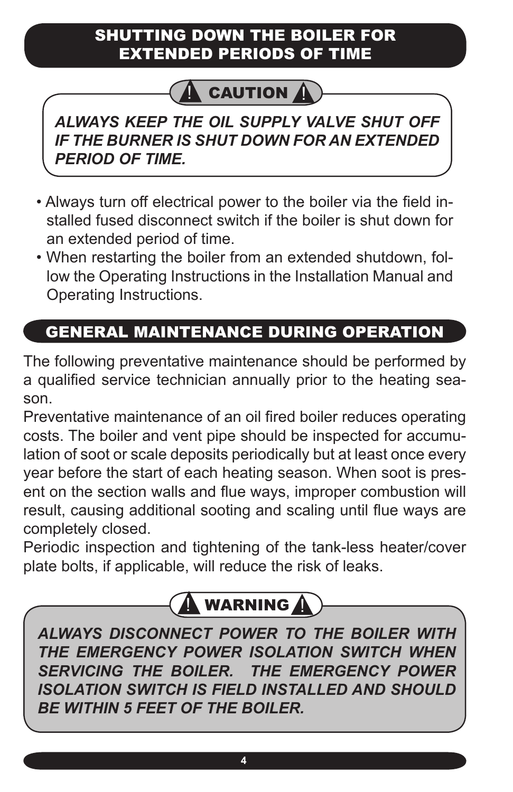#### SHUTTING DOWN THE BOILER FOR EXTENDED PERIODS OF TIME

## **CAUTION**

*ALWAYS KEEP THE OIL SUPPLY VALVE SHUT OFF IF THE BURNER IS SHUT DOWN FOR AN EXTENDED PERIOD OF TIME.*

- Always turn off electrical power to the boiler via the field installed fused disconnect switch if the boiler is shut down for an extended period of time.
- When restarting the boiler from an extended shutdown, follow the Operating Instructions in the Installation Manual and Operating Instructions.

## GENERAL MAINTENANCE DURING OPERATION

The following preventative maintenance should be performed by a qualified service technician annually prior to the heating season.

Preventative maintenance of an oil fired boiler reduces operating costs. The boiler and vent pipe should be inspected for accumulation of soot or scale deposits periodically but at least once every year before the start of each heating season. When soot is present on the section walls and flue ways, improper combustion will result, causing additional sooting and scaling until flue ways are completely closed.

Periodic inspection and tightening of the tank-less heater/cover plate bolts, if applicable, will reduce the risk of leaks.

# **WARNING**

*ALWAYS DISCONNECT POWER TO THE BOILER WITH THE EMERGENCY POWER ISOLATION SWITCH WHEN SERVICING THE BOILER. THE EMERGENCY POWER ISOLATION SWITCH IS FIELD INSTALLED AND SHOULD BE WITHIN 5 FEET OF THE BOILER.*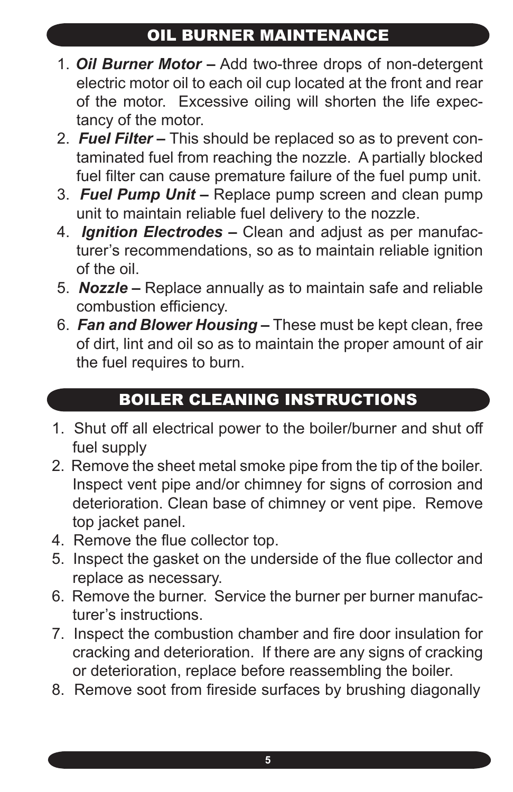### OIL BURNER MAINTENANCE

- 1. *Oil Burner Motor –* Add two-three drops of non-detergent electric motor oil to each oil cup located at the front and rear of the motor. Excessive oiling will shorten the life expectancy of the motor.
- 2. *Fuel Filter* This should be replaced so as to prevent contaminated fuel from reaching the nozzle. A partially blocked fuel filter can cause premature failure of the fuel pump unit.
- 3. *Fuel Pump Unit –* Replace pump screen and clean pump unit to maintain reliable fuel delivery to the nozzle.
- 4. *Ignition Electrodes* Clean and adjust as per manufacturer's recommendations, so as to maintain reliable ignition of the oil.
- 5. *Nozzle –* Replace annually as to maintain safe and reliable combustion efficiency.
- 6. *Fan and Blower Housing –* These must be kept clean, free of dirt, lint and oil so as to maintain the proper amount of air the fuel requires to burn.

## BOILER CLEANING INSTRUCTIONS

- 1. Shut off all electrical power to the boiler/burner and shut off fuel supply
- 2. Remove the sheet metal smoke pipe from the tip of the boiler. Inspect vent pipe and/or chimney for signs of corrosion and deterioration. Clean base of chimney or vent pipe. Remove top jacket panel.
- 4. Remove the flue collector top.
- 5. Inspect the gasket on the underside of the flue collector and replace as necessary.
- 6. Remove the burner. Service the burner per burner manufacturer's instructions.
- 7. Inspect the combustion chamber and fire door insulation for cracking and deterioration. If there are any signs of cracking or deterioration, replace before reassembling the boiler.
- 8. Remove soot from fireside surfaces by brushing diagonally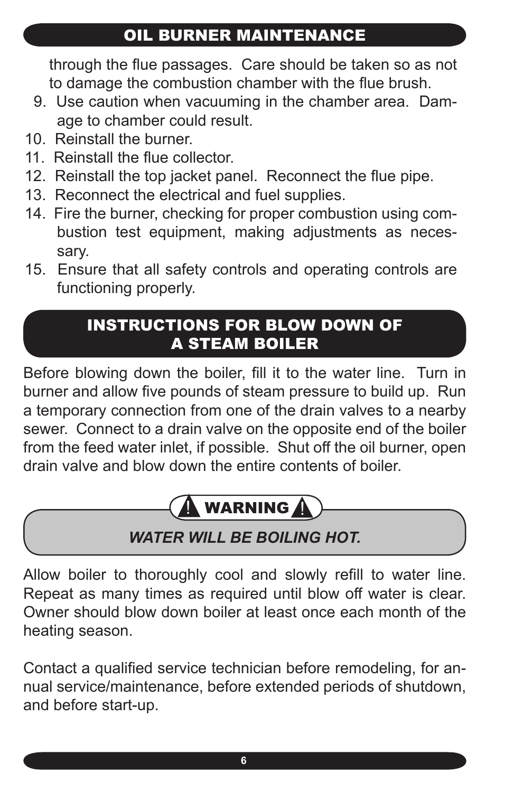### OIL BURNER MAINTENANCE

through the flue passages. Care should be taken so as not to damage the combustion chamber with the flue brush.

- 9. Use caution when vacuuming in the chamber area. Damage to chamber could result.
- 10. Reinstall the burner.
- 11. Reinstall the flue collector.
- 12. Reinstall the top jacket panel. Reconnect the flue pipe.
- 13. Reconnect the electrical and fuel supplies.
- 14. Fire the burner, checking for proper combustion using combustion test equipment, making adjustments as necessary.
- 15. Ensure that all safety controls and operating controls are functioning properly.

#### INSTRUCTIONS FOR BLOW DOWN OF A STEAM BOILER

Before blowing down the boiler, fill it to the water line. Turn in burner and allow five pounds of steam pressure to build up. Run a temporary connection from one of the drain valves to a nearby sewer. Connect to a drain valve on the opposite end of the boiler from the feed water inlet, if possible. Shut off the oil burner, open drain valve and blow down the entire contents of boiler.

# . WARNING  $\boldsymbol{\varLambda}$

## *WATER WILL BE BOILING HOT.*

Allow boiler to thoroughly cool and slowly refill to water line. Repeat as many times as required until blow off water is clear. Owner should blow down boiler at least once each month of the heating season.

Contact a qualified service technician before remodeling, for annual service/maintenance, before extended periods of shutdown, and before start-up.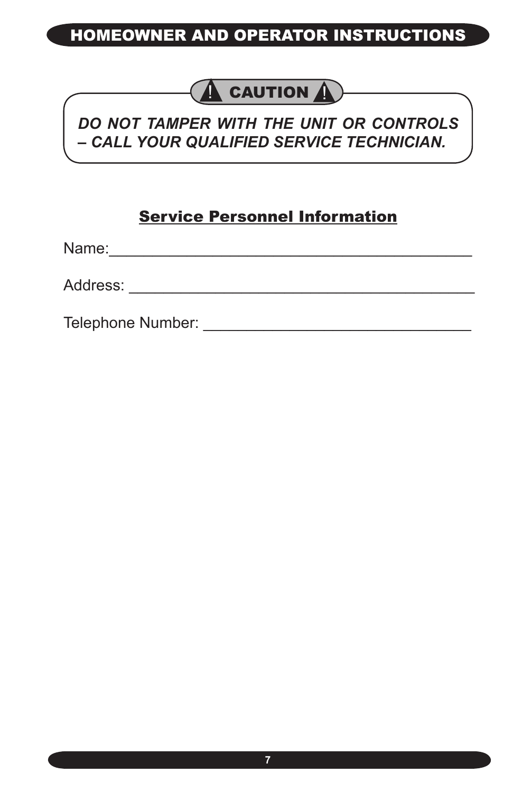#### HOMEOWNER AND OPERATOR INSTRUCTIONS

## $\bigwedge$  CAUTION  $\bigwedge$

#### *DO NOT TAMPER WITH THE UNIT OR CONTROLS – CALL YOUR QUALIFIED SERVICE TECHNICIAN.*

#### Service Personnel Information

Name:\_\_\_\_\_\_\_\_\_\_\_\_\_\_\_\_\_\_\_\_\_\_\_\_\_\_\_\_\_\_\_\_\_\_\_\_\_\_\_\_\_\_

Address: \_\_\_\_\_\_\_\_\_\_\_\_\_\_\_\_\_\_\_\_\_\_\_\_\_\_\_\_\_\_\_\_\_\_\_\_\_\_\_\_

Telephone Number: \_\_\_\_\_\_\_\_\_\_\_\_\_\_\_\_\_\_\_\_\_\_\_\_\_\_\_\_\_\_\_